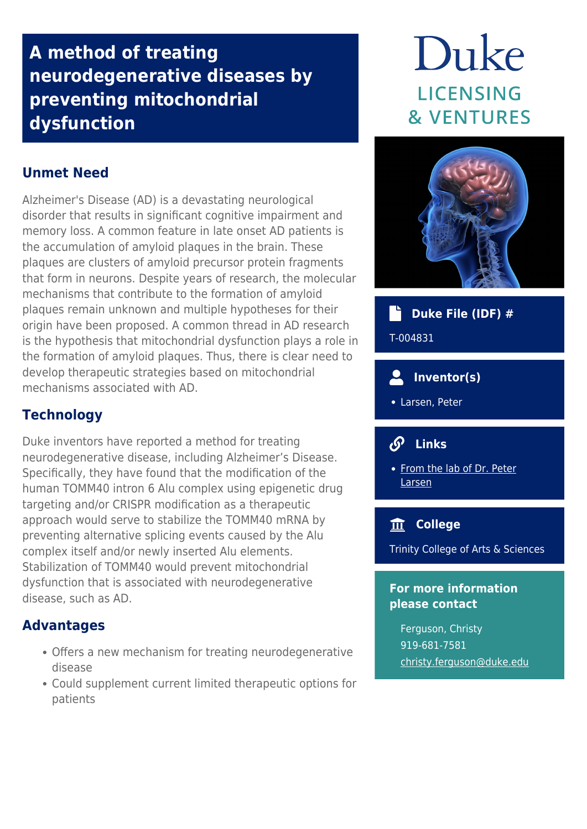# **A method of treating neurodegenerative diseases by preventing mitochondrial dysfunction**

# Duke **LICENSING & VENTURES**

# **Unmet Need**

Alzheimer's Disease (AD) is a devastating neurological disorder that results in significant cognitive impairment and memory loss. A common feature in late onset AD patients is the accumulation of amyloid plaques in the brain. These plaques are clusters of amyloid precursor protein fragments that form in neurons. Despite years of research, the molecular mechanisms that contribute to the formation of amyloid plaques remain unknown and multiple hypotheses for their origin have been proposed. A common thread in AD research is the hypothesis that mitochondrial dysfunction plays a role in the formation of amyloid plaques. Thus, there is clear need to develop therapeutic strategies based on mitochondrial mechanisms associated with AD.

## **Technology**

Duke inventors have reported a method for treating neurodegenerative disease, including Alzheimer's Disease. Specifically, they have found that the modification of the human TOMM40 intron 6 Alu complex using epigenetic drug targeting and/or CRISPR modification as a therapeutic approach would serve to stabilize the TOMM40 mRNA by preventing alternative splicing events caused by the Alu complex itself and/or newly inserted Alu elements. Stabilization of TOMM40 would prevent mitochondrial dysfunction that is associated with neurodegenerative disease, such as AD.

#### **Advantages**

- Offers a new mechanism for treating neurodegenerative disease
- Could supplement current limited therapeutic options for patients



#### **Duke File (IDF) #** ۰ĥ

T-004831

## **Inventor(s)**

Larsen, Peter

# **Links**

• [From the lab of Dr. Peter](https://vetmed.umn.edu/bio/college-of-veterinary-medicine/peter-larsen) [Larsen](https://vetmed.umn.edu/bio/college-of-veterinary-medicine/peter-larsen)

#### **College**

Trinity College of Arts & Sciences

#### **For more information please contact**

Ferguson, Christy 919-681-7581 [christy.ferguson@duke.edu](mailto:christy.ferguson@duke.edu)